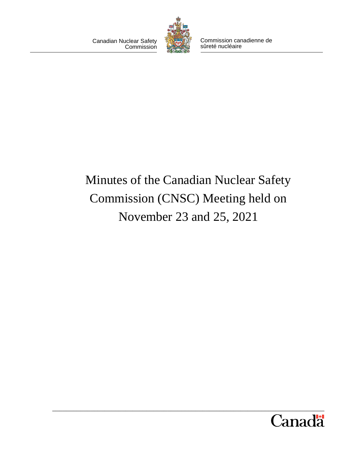Canadian Nuclear Safety **Commission** 



Commission canadienne de sûreté nucléaire

# Minutes of the Canadian Nuclear Safety Commission (CNSC) Meeting held on November 23 and 25, 2021

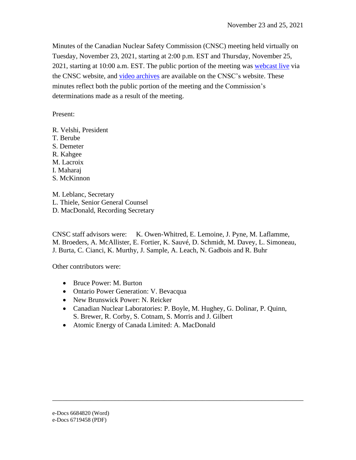Minutes of the Canadian Nuclear Safety Commission (CNSC) meeting held virtually on Tuesday, November 23, 2021, starting at 2:00 p.m. EST and Thursday, November 25, 2021, starting at 10:00 a.m. EST. The public portion of the meeting was [webcast live](https://nuclearsafety.gc.ca/eng/the-commission/webcasts/index.cfm) via the CNSC website, and [video archives](https://nuclearsafety.gc.ca/eng/the-commission/webcasts/archived/index.cfm) are available on the CNSC's website. These minutes reflect both the public portion of the meeting and the Commission's determinations made as a result of the meeting.

Present:

R. Velshi, President T. Berube S. Demeter R. Kahgee M. Lacroix I. Maharaj S. McKinnon

M. Leblanc, Secretary L. Thiele, Senior General Counsel D. MacDonald, Recording Secretary

CNSC staff advisors were: K. Owen-Whitred, E. Lemoine, J. Pyne, M. Laflamme, M. Broeders, A. McAllister, E. Fortier, K. Sauvé, D. Schmidt, M. Davey, L. Simoneau, J. Burta, C. Cianci, K. Murthy, J. Sample, A. Leach, N. Gadbois and R. Buhr

Other contributors were:

- Bruce Power: M. Burton
- Ontario Power Generation: V. Bevacqua
- New Brunswick Power: N. Reicker
- Canadian Nuclear Laboratories: P. Boyle, M. Hughey, G. Dolinar, P. Quinn, S. Brewer, R. Corby, S. Cotnam, S. Morris and J. Gilbert

\_\_\_\_\_\_\_\_\_\_\_\_\_\_\_\_\_\_\_\_\_\_\_\_\_\_\_\_\_\_\_\_\_\_\_\_\_\_\_\_\_\_\_\_\_\_\_\_\_\_\_\_\_\_\_\_\_\_\_\_\_\_\_\_\_\_\_\_\_\_\_\_

• Atomic Energy of Canada Limited: A. MacDonald

e-Docs 6684820 (Word)

e-Docs 6719458 (PDF)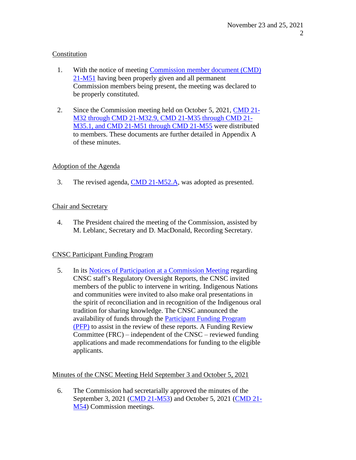## Constitution

- 1. With the notice of meeting [Commission member document \(CMD\)](https://nuclearsafety.gc.ca/eng/the-commission/pdf/21-M51-NoticeCommissionMeeting-Nov.23and25-2021-e.pdf) [21-M51](https://nuclearsafety.gc.ca/eng/the-commission/pdf/21-M51-NoticeCommissionMeeting-Nov.23and25-2021-e.pdf) having been properly given and all permanent Commission members being present, the meeting was declared to be properly constituted.
- 2. Since the Commission meeting held on October 5, 2021, [CMD 21-](https://www.nuclearsafety.gc.ca/eng/the-commission/meetings/cmd/pdf/Meeting-Documents-zip-files/meeting-documents-20211123-20211125.zip) [M32 through CMD 21-M32.9, CMD 21-M35](https://www.nuclearsafety.gc.ca/eng/the-commission/meetings/cmd/pdf/Meeting-Documents-zip-files/meeting-documents-20211123-20211125.zip) through CMD 21- M35.1, and [CMD 21-M51](https://www.nuclearsafety.gc.ca/eng/the-commission/meetings/cmd/pdf/Meeting-Documents-zip-files/meeting-documents-20211123-20211125.zip) through CMD 21-M55 were distributed to members. These documents are further detailed in Appendix A of these minutes.

# Adoption of the Agenda

3. The revised agenda, CMD [21-M52.A,](https://nuclearsafety.gc.ca/eng/the-commission/pdf/21-M52A-RevisedAgendaMeeting-Nov23and25-2021-e.pdf) was adopted as presented.

## Chair and Secretary

4. The President chaired the meeting of the Commission, a ssisted by M. Leblanc, Secretary and D. MacDonal d , Recording Secretary.

# CNSC Participant Funding Program

5. In its [Notices of Participation at](http://nuclearsafety.gc.ca/eng/the-commission/meetings/documents_browse/index.cfm?mid=262&yr=2021) a Commission Meeting regarding CNSC staff's Regulatory Oversight Reports, the CNSC invited members of the public to intervene in writing. Indigenous Nations and communities were invited to also make oral presentations in the spirit of reconciliation and in recognition of the Indigenous oral tradition for sharing knowledge. The CNSC announced the availability of funds through the [Participant Funding Program](http://nuclearsafety.gc.ca/eng/the-commission/participant-funding-program/index.cfm) [\(PFP\)](http://nuclearsafety.gc.ca/eng/the-commission/participant-funding-program/index.cfm) to assist in the review of these reports. A Funding Review Committee (FRC) – independent of the CNSC – reviewed funding applications and made recommendations for funding to the eligible applicants.

## Minutes of the CNSC Meeting Held September 3 and October 5, 2021

6. The Commission had secretarially approved the minutes of the September 3, 2021 (CMD [21-M53\)](https://nuclearsafety.gc.ca/eng/the-commission/pdf/Minutes-CommissionMeeting-September3-e.pdf) and October 5, 2021 [\(CMD](http://www.nuclearsafety.gc.ca/eng/the-commission/pdf/Minutes-CommissionMeeting-October-e.pdf) 21- [M54\)](http://www.nuclearsafety.gc.ca/eng/the-commission/pdf/Minutes-CommissionMeeting-October-e.pdf) Commission meetings.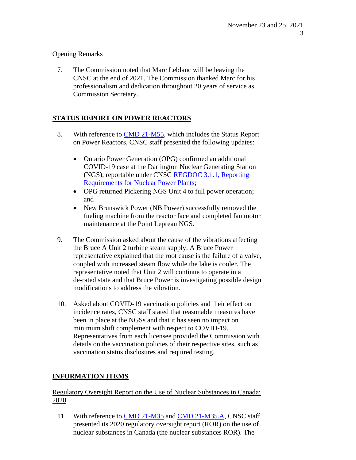# Opening Remarks

7. The Commission noted that Marc Leblanc will be leaving the CNSC at the end of 2021. The Commission thanked Marc for his professionalism and dedication throughout 20 years of service as Commission Secretary.

# **STATUS REPORT ON POWER REACTORS**

- 8. With reference to CMD [21-M55,](https://www.nuclearsafety.gc.ca/eng/the-commission/meetings/cmd/pdf/CMD21/CMD21-M55.pdf) which includes the Status Report on Power Reactors, CNSC staff presented the following updates:
	- Ontario Power Generation (OPG) confirmed an additional COVID-19 case at the Darlington Nuclear Generating Station (NGS), reportable under CNSC [REGDOC 3.1.1, Reporting](https://nuclearsafety.gc.ca/eng/acts-and-regulations/regulatory-documents/published/html/regdoc3-1-1/index.cfm) [Requirements for Nuclear Power](https://nuclearsafety.gc.ca/eng/acts-and-regulations/regulatory-documents/published/html/regdoc3-1-1/index.cfm) Plants;
	- OPG returned Pickering NGS Unit 4 to full power operation; and
	- New Brunswick Power (NB Power) successfully removed the fueling machine from the reactor face and completed fan motor maintenance at the Point Lepreau NGS.
- 9. The Commission asked about the cause of the vibrations affecting the Bruce A Unit 2 turbine steam supply. A Bruce Power representative explained that the root cause is the failure of a valve, coupled with increased steam flow while the lake is cooler. The representative noted that Unit 2 will continue to operate in a de-rated state and that Bruce Power is investigating possible design modifications to address the vibration.
- 10. Asked about COVID-19 vaccination policies and their effect on incidence rates, CNSC staff stated that reasonable measures have been in place at the NGSs and that it has seen no impact on minimum shift complement with respect to COVID-19. Representatives from each licensee provided the Commission with details on the vaccination policies of their respective sites, such as vaccination status disclosures and required testing.

# **INFORMATION ITEMS**

# Regulatory Oversight Report on the Use of Nuclear Substances in Canada: 2020

11. With reference to CMD [21-M35](https://www.nuclearsafety.gc.ca/eng/the-commission/meetings/cmd/pdf/CMD21/CMD21-M35.pdf) and [CMD 21-M35.A,](https://www.nuclearsafety.gc.ca/eng/the-commission/meetings/cmd/pdf/CMD21/CMD21-M35-A.pdf) CNSC staff presented its 2020 regulatory oversight report (ROR) on the use of nuclear substances in Canada (the nuclear substances ROR). The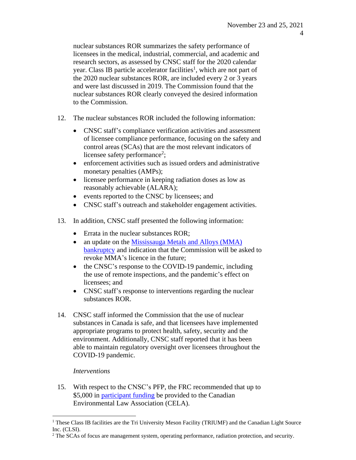nuclear substances ROR summarizes the safety performance of licensees in the medical, industrial, commercial, and academic and research sectors, as assessed by CNSC staff for the 2020 calendar year. Class IB particle accelerator facilities<sup>1</sup>, which are not part of the 2020 nuclear substances ROR, are included every 2 or 3 years and were last discussed in 2019. The Commission found that the nuclear substances ROR clearly conveyed the desired information to the Commission.

- 12. The nuclear substances ROR included the following information:
	- CNSC staff's compliance verification activities and assessment of licensee compliance performance, focusing on the safety and control areas (SCAs) that are the most relevant indicators of licensee safety performance<sup>2</sup>;
	- enforcement activities such as issued orders and administrative monetary penalties (AMPs);
	- licensee performance in keeping radiation doses as low as reasonably achievable (ALARA);
	- events reported to the CNSC by licensees; and
	- CNSC staff's outreach and stakeholder engagement activities.
- 13. In addition, CNSC staff presented the following information:
	- Errata in the nuclear substances ROR;
	- an update on the [Mississauga](https://www.nuclearsafety.gc.ca/eng/the-commission/meetings/cmd/pdf/CMD21/CMD21-M49.pdf) Metals and Alloys (MMA) [bankruptcy](https://www.nuclearsafety.gc.ca/eng/the-commission/meetings/cmd/pdf/CMD21/CMD21-M49.pdf) and indication that the Commission will be asked to revoke MMA's licence in the future;
	- the CNSC's response to the COVID-19 pandemic, including the use of remote inspections, and the pandemic's effect on licensees; and
	- CNSC staff's response to interventions regarding the nuclear substances ROR.
- 14. CNSC staff informed the Commission that the use of nuclear substances in Canada is safe, and that licensees have implemented appropriate programs to protect health, safety, security and the environment. Additionally, CNSC staff reported that it has been able to maintain regulatory oversight over licensees throughout the COVID-19 pandemic.

# *Interventions*

15. With respect to the CNSC's PFP, the FRC recommended that up to \$5,000 in [participant funding](https://nuclearsafety.gc.ca/eng/the-commission/participant-funding-program/opportunities/pfp-2021-DNSR-ROR.cfm) be provided to the Canadian Environmental Law Association (CELA).

<sup>&</sup>lt;sup>1</sup> These Class IB facilities are the Tri University Meson Facility (TRIUMF) and the Canadian Light Source Inc. (CLSI).

<sup>&</sup>lt;sup>2</sup> The SCAs of focus are management system, operating performance, radiation protection, and security.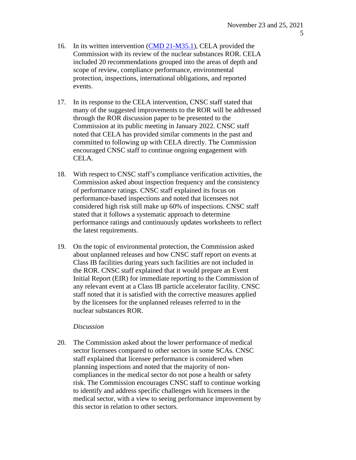- 16. In its written intervention [\(CMD 21-M35.1\)](https://www.nuclearsafety.gc.ca/eng/the-commission/meetings/cmd/pdf/CMD21/CMD21-M35-1.pdf), CELA provided the Commission with its review of the nuclear substances ROR. CELA included 20 recommendations grouped into the areas of depth and scope of review, compliance performance, environmental protection, inspections, international obligations, and reported events.
- 17. In its response to the CELA intervention, CNSC staff stated that many of the suggested improvements to the ROR will be addressed through the ROR discussion paper to be presented to the Commission at its public meeting in January 2022. CNSC staff noted that CELA has provided similar comments in the past and committed to following up with CELA directly. The Commission encouraged CNSC staff to continue ongoing engagement with CELA.
- 18. With respect to CNSC staff's compliance verification activities, the Commission asked about inspection frequency and the consistency of performance ratings. CNSC staff explained its focus on performance-based inspections and noted that licensees not considered high risk still make up 60% of inspections. CNSC staff stated that it follows a systematic approach to determine performance ratings and continuously updates worksheets to reflect the latest requirements.
- 19. On the topic of environmental protection, the Commission asked about unplanned releases and how CNSC staff report on events at Class IB facilities during years such facilities are not included in the ROR. CNSC staff explained that it would prepare an Event Initial Report (EIR) for immediate reporting to the Commission of any relevant event at a Class IB particle accelerator facility. CNSC staff noted that it is satisfied with the corrective measures applied by the licensees for the unplanned releases referred to in the nuclear substances ROR.

### *Discussion*

20. The Commission asked about the lower performance of medical sector licensees compared to other sectors in some SCAs. CNSC staff explained that licensee performance is considered when planning inspections and noted that the majority of noncompliances in the medical sector do not pose a health or safety risk. The Commission encourages CNSC staff to continue working to identify and address specific challenges with licensees in the medical sector, with a view to seeing performance improvement by this sector in relation to other sectors.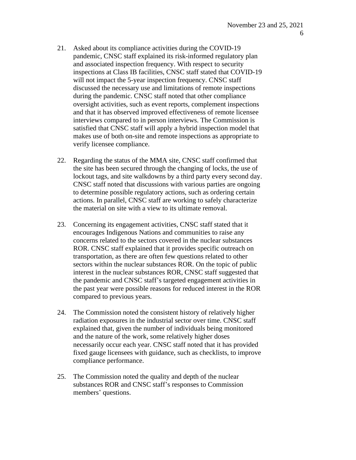- 21. Asked about its compliance activities during the COVID-19 pandemic, CNSC staff explained its risk-informed regulatory plan and associated inspection frequency. With respect to security inspections at Class IB facilities, CNSC staff stated that COVID-19 will not impact the 5-year inspection frequency. CNSC staff discussed the necessary use and limitations of remote inspections during the pandemic. CNSC staff noted that other compliance oversight activities, such as event reports, complement inspections and that it has observed improved effectiveness of remote licensee interviews compared to in person interviews. The Commission is satisfied that CNSC staff will apply a hybrid inspection model that makes use of both on-site and remote inspections as appropriate to verify licensee compliance.
- 22. Regarding the status of the MMA site, CNSC staff confirmed that the site has been secured through the changing of locks, the use of lockout tags, and site walkdowns by a third party every second day. CNSC staff noted that discussions with various parties are ongoing to determine possible regulatory actions, such as ordering certain actions. In parallel, CNSC staff are working to safely characterize the material on site with a view to its ultimate removal.
- 23. Concerning its engagement activities, CNSC staff stated that it encourages Indigenous Nations and communities to raise any concerns related to the sectors covered in the nuclear substances ROR. CNSC staff explained that it provides specific outreach on transportation, as there are often few questions related to other sectors within the nuclear substances ROR. On the topic of public interest in the nuclear substances ROR, CNSC staff suggested that the pandemic and CNSC staff's targeted engagement activities in the past year were possible reasons for reduced interest in the ROR compared to previous years.
- 24. The Commission noted the consistent history of relatively higher radiation exposures in the industrial sector over time. CNSC staff explained that, given the number of individuals being monitored and the nature of the work, some relatively higher doses necessarily occur each year. CNSC staff noted that it has provided fixed gauge licensees with guidance, such as checklists, to improve compliance performance.
- 25. The Commission noted the quality and depth of the nuclear substances ROR and CNSC staff's responses to Commission members' questions.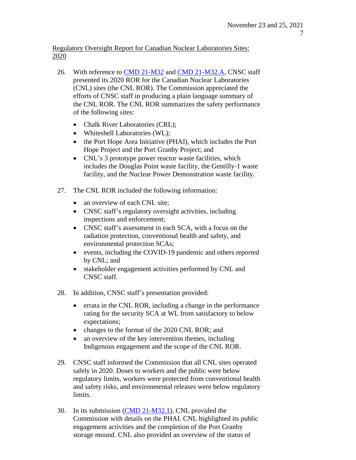Regulatory Oversight Report for Canadian Nuclear Laboratories Sites: 2020

- 26. With reference to CMD [21-M32](https://www.nuclearsafety.gc.ca/eng/the-commission/meetings/cmd/pdf/CMD21/CMD21-M32.pdf) and CMD [21-M32.A,](https://www.nuclearsafety.gc.ca/eng/the-commission/meetings/cmd/pdf/CMD21/CMD21-M32-A.pdf) CNSC staff presented its 2020 ROR for the Canadian Nuclear Laboratories (CNL) sites (the CNL ROR). The Commission appreciated the efforts of CNSC staff in producing a plain language summary of the CNL ROR. The CNL ROR summarizes the safety performance of the following sites:
	- Chalk River Laboratories (CRL);
	- Whiteshell Laboratories (WL);
	- the Port Hope Area Initiative (PHAI), which includes the Port Hope Project and the Port Granby Project; and
	- CNL's 3 prototype power reactor waste facilities, which includes the Douglas Point waste facility, the Gentilly-1 waste facility, and the Nuclear Power Demonstration waste facility.
- 27. The CNL ROR included the following information:
	- an overview of each CNL site;
	- CNSC staff's regulatory oversight activities, including inspections and enforcement;
	- CNSC staff's assessment in each SCA, with a focus on the radiation protection, conventional health and safety, and environmental protection SCAs;
	- events, including the COVID-19 pandemic and others reported by CNL; and
	- stakeholder engagement activities performed by CNL and CNSC staff.
- 28. In addition, CNSC staff's presentation provided:
	- errata in the CNL ROR, including a change in the performance rating for the security SCA at WL from satisfactory to below expectations;
	- changes to the format of the 2020 CNL ROR; and
	- an overview of the key intervention themes, including Indigenous engagement and the scope of the CNL ROR.
- 29. CNSC staff informed the Commission that all CNL sites operated safely in 2020. Doses to workers and the public were below regulatory limits, workers were protected from conventional health and safety risks, and environmental releases were below regulatory limits.
- 30. In its submission [\(CMD 21-M32.1\)](https://www.nuclearsafety.gc.ca/eng/the-commission/meetings/cmd/pdf/CMD21/CMD21-M32-1.pdf), CNL provided the Commission with details on the PHAI. CNL highlighted its public engagement activities and the completion of the Port Granby storage mound. CNL also provided an overview of the status of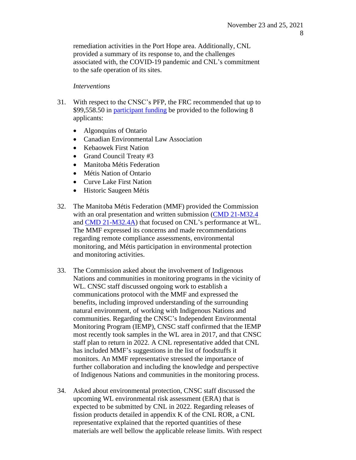remediation activities in the Port Hope area. Additionally, CNL provided a summary of its response to, and the challenges associated with, the COVID-19 pandemic and CNL's commitment to the safe operation of its sites.

#### *Interventions*

- 31. With respect to the CNSC's PFP, the FRC recommended that up to \$99,558.50 in [participant funding](https://nuclearsafety.gc.ca/eng/the-commission/participant-funding-program/opportunities/pfp-2021-CNL-ROR.cfm) be provided to the following 8 applicants:
	- Algonquins of Ontario
	- Canadian Environmental Law Association
	- Kebaowek First Nation
	- Grand Council Treaty #3
	- Manitoba Métis Federation
	- Métis Nation of Ontario
	- Curve Lake First Nation
	- Historic Saugeen Métis
- 32. The Manitoba Métis Federation (MMF) provided the Commission with an oral presentation and written submission [\(CMD 21-M32.4](https://www.nuclearsafety.gc.ca/eng/the-commission/meetings/cmd/pdf/CMD21/CMD21-M32-4.pdf)) and [CMD 21-M32.4A\)](https://www.nuclearsafety.gc.ca/eng/the-commission/meetings/cmd/pdf/CMD21/CMD21-M32-4A.pdf) that focused on CNL's performance at WL. The MMF expressed its concerns and made recommendations regarding remote compliance assessments, environmental monitoring, and Métis participation in environmental protection and monitoring activities.
- 33. The Commission asked about the involvement of Indigenous Nations and communities in monitoring programs in the vicinity of WL. CNSC staff discussed ongoing work to establish a communications protocol with the MMF and expressed the benefits, including improved understanding of the surrounding natural environment, of working with Indigenous Nations and communities. Regarding the CNSC's Independent Environmental Monitoring Program (IEMP), CNSC staff confirmed that the IEMP most recently took samples in the WL area in 2017, and that CNSC staff plan to return in 2022. A CNL representative added that CNL has included MMF's suggestions in the list of foodstuffs it monitors. An MMF representative stressed the importance of further collaboration and including the knowledge and perspective of Indigenous Nations and communities in the monitoring process.
- 34. Asked about environmental protection, CNSC staff discussed the upcoming WL environmental risk assessment (ERA) that is expected to be submitted by CNL in 2022. Regarding releases of fission products detailed in appendix K of the CNL ROR, a CNL representative explained that the reported quantities of these materials are well bellow the applicable release limits. With respect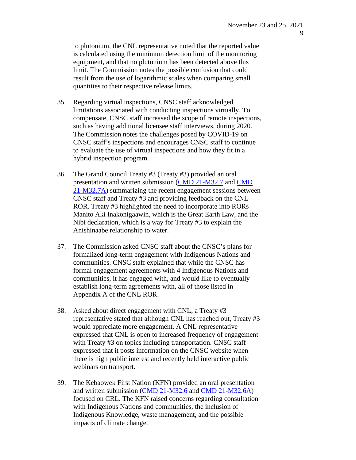to plutonium, the CNL representative noted that the reported value is calculated using the minimum detection limit of the monitoring equipment, and that no plutonium has been detected above this limit. The Commission notes the possible confusion that could result from the use of logarithmic scales when comparing small quantities to their respective release limits.

- 35. Regarding virtual inspections, CNSC staff acknowledged limitations associated with conducting inspections virtually. To compensate, CNSC staff increased the scope of remote inspections, such as having additional licensee staff interviews, during 2020. The Commission notes the challenges posed by COVID-19 on CNSC staff's inspections and encourages CNSC staff to continue to evaluate the use of virtual inspections and how they fit in a hybrid inspection program.
- 36. The Grand Council Treaty #3 (Treaty #3) provided an oral presentation and written submission [\(CMD 21-M32.7](https://www.nuclearsafety.gc.ca/eng/the-commission/meetings/cmd/pdf/CMD21/CMD21-M32-7.pdf) and [CMD](https://www.nuclearsafety.gc.ca/eng/the-commission/meetings/cmd/pdf/CMD21/CMD21-M32-7A.pdf) [21-M32.7A\)](https://www.nuclearsafety.gc.ca/eng/the-commission/meetings/cmd/pdf/CMD21/CMD21-M32-7A.pdf) summarizing the recent engagement sessions between CNSC staff and Treaty #3 and providing feedback on the CNL ROR. Treaty #3 highlighted the need to incorporate into RORs Manito Aki Inakonigaawin, which is the Great Earth Law, and the Nibi declaration, which is a way for Treaty #3 to explain the Anishinaabe relationship to water.
- 37. The Commission asked CNSC staff about the CNSC's plans for formalized long-term engagement with Indigenous Nations and communities. CNSC staff explained that while the CNSC has formal engagement agreements with 4 Indigenous Nations and communities, it has engaged with, and would like to eventually establish long-term agreements with, all of those listed in Appendix A of the CNL ROR.
- 38. Asked about direct engagement with CNL, a Treaty #3 representative stated that although CNL has reached out, Treaty #3 would appreciate more engagement. A CNL representative expressed that CNL is open to increased frequency of engagement with Treaty #3 on topics including transportation. CNSC staff expressed that it posts information on the CNSC website when there is high public interest and recently held interactive public webinars on transport.
- 39. The Kebaowek First Nation (KFN) provided an oral presentation and written submission [\(CMD 21-M32.6](https://www.nuclearsafety.gc.ca/eng/the-commission/meetings/cmd/pdf/CMD21/CMD21-M32-6.pdf) and CMD [21-M32.6A\)](https://www.nuclearsafety.gc.ca/eng/the-commission/meetings/cmd/pdf/CMD21/CMD21-M32-6A.pdf) focused on CRL. The KFN raised concerns regarding consultation with Indigenous Nations and communities, the inclusion of Indigenous Knowledge, waste management, and the possible impacts of climate change.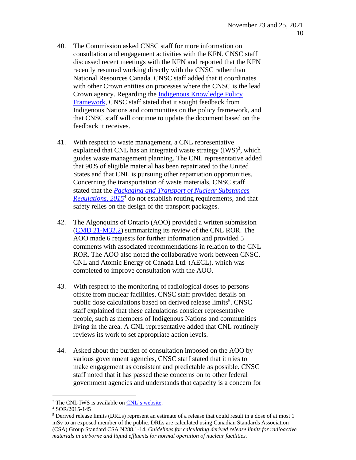- 40. The Commission asked CNSC staff for more information on consultation and engagement activities with the KFN. CNSC staff discussed recent meetings with the KFN and reported that the KFN recently resumed working directly with the CNSC rather than National Resources Canada. CNSC staff added that it coordinates with other Crown entities on processes where the CNSC is the lead Crown agency. Regarding the [Indigenous Knowledge](https://nuclearsafety.gc.ca/eng/resources/aboriginal-consultation/indigenous-knowledge-policy.cfm) Policy [Framework,](https://nuclearsafety.gc.ca/eng/resources/aboriginal-consultation/indigenous-knowledge-policy.cfm) CNSC staff stated that it sought feedback from Indigenous Nations and communities on the policy framework, and that CNSC staff will continue to update the document based on the feedback it receives.
- 41. With respect to waste management, a CNL representative explained that CNL has an integrated waste strategy  $(IVS)^3$ , which guides waste management planning. The CNL representative added that 90% of eligible material has been repatriated to the United States and that CNL is pursuing other repatriation opportunities. Concerning the transportation of waste materials, CNSC staff stated that the *[Packaging and Transport of Nuclear Substances](https://laws-lois.justice.gc.ca/eng/regulations/sor-2015-145/index.html) [Regulations, 2015](https://laws-lois.justice.gc.ca/eng/regulations/sor-2015-145/index.html)*<sup>4</sup> do not establish routing requirements, and that safety relies on the design of the transport packages.
- 42. The Algonquins of Ontario (AOO) provided a written submission (CMD [21-M32.2\)](https://www.nuclearsafety.gc.ca/eng/the-commission/meetings/cmd/pdf/CMD21/CMD21-M32-2.pdf) summarizing its review of the CNL ROR. The AOO made 6 requests for further information and provided 5 comments with associated recommendations in relation to the CNL ROR. The AOO also noted the collaborative work between CNSC, CNL and Atomic Energy of Canada Ltd. (AECL), which was completed to improve consultation with the AOO.
- 43. With respect to the monitoring of radiological doses to persons offsite from nuclear facilities, CNSC staff provided details on public dose calculations based on derived release limits<sup>5</sup>. CNSC staff explained that these calculations consider representative people, such as members of Indigenous Nations and communities living in the area. A CNL representative added that CNL routinely reviews its work to set appropriate action levels.
- 44. Asked about the burden of consultation imposed on the AOO by various government agencies, CNSC staff stated that it tries to make engagement as consistent and predictable as possible. CNSC staff noted that it has passed these concerns on to other federal government agencies and understands that capacity is a concern for

<sup>&</sup>lt;sup>3</sup> The CNL IWS is available on [CNL's website.](http://www.cnl.ca/wp-content/uploads/2021/03/Canadian-Nuclear-Laboratories-Integrated-Waste-Strategy-REV-1_.pdf)

<sup>4</sup> SOR/2015-145

<sup>&</sup>lt;sup>5</sup> Derived release limits (DRLs) represent an estimate of a release that could result in a dose of at most 1 mSv to an exposed member of the public. DRLs are calculated using Canadian Standards Association (CSA) Group Standard CSA N288.1-14, *Guidelines for calculating derived release limits for radioactive materials in airborne and liquid effluents for normal operation of nuclear facilities*.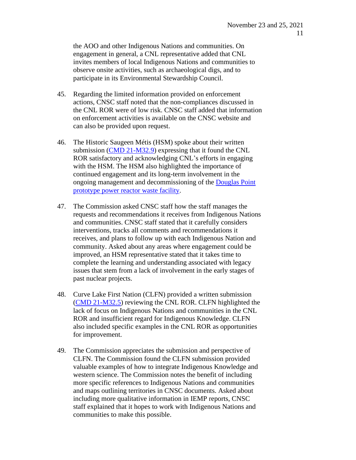the AOO and other Indigenous Nations and communities. On engagement in general, a CNL representative added that CNL invites members of local Indigenous Nations and communities to observe onsite activities, such as archaeological digs, and to participate in its Environmental Stewardship Council.

- 45. Regarding the limited information provided on enforcement actions, CNSC staff noted that the non-compliances discussed in the CNL ROR were of low risk. CNSC staff added that information on enforcement activities is available on the CNSC website and can also be provided upon request.
- 46. The Historic Saugeen Métis (HSM) spoke about their written submission [\(CMD 21-M32.9\)](https://www.nuclearsafety.gc.ca/eng/the-commission/meetings/cmd/pdf/CMD21/CMD21-M32-9.pdf) expressing that it found the CNL ROR satisfactory and acknowledging CNL's efforts in engaging with the HSM. The HSM also highlighted the importance of continued engagement and its long-term involvement in the ongoing management and decommissioning of the [Douglas Point](https://nuclearsafety.gc.ca/eng/reactors/research-reactors/other-reactor-facilities/douglas-point-waste-facility.cfm) [prototype power reactor](https://nuclearsafety.gc.ca/eng/reactors/research-reactors/other-reactor-facilities/douglas-point-waste-facility.cfm) waste facility.
- 47. The Commission asked CNSC staff how the staff manages the requests and recommendations it receives from Indigenous Nations and communities. CNSC staff stated that it carefully considers interventions, tracks all comments and recommendations it receives, and plans to follow up with each Indigenous Nation and community. Asked about any areas where engagement could be improved, an HSM representative stated that it takes time to complete the learning and understanding associated with legacy issues that stem from a lack of involvement in the early stages of past nuclear projects.
- 48. Curve Lake First Nation (CLFN) provided a written submission [\(CMD 21-M32.5\)](https://www.nuclearsafety.gc.ca/eng/the-commission/meetings/cmd/pdf/CMD21/CMD21-M32-5.pdf) reviewing the CNL ROR. CLFN highlighted the lack of focus on Indigenous Nations and communities in the CNL ROR and insufficient regard for Indigenous Knowledge. CLFN also included specific examples in the CNL ROR as opportunities for improvement.
- 49. The Commission appreciates the submission and perspective of CLFN. The Commission found the CLFN submission provided valuable examples of how to integrate Indigenous Knowledge and western science. The Commission notes the benefit of including more specific references to Indigenous Nations and communities and maps outlining territories in CNSC documents. Asked about including more qualitative information in IEMP reports, CNSC staff explained that it hopes to work with Indigenous Nations and communities to make this possible.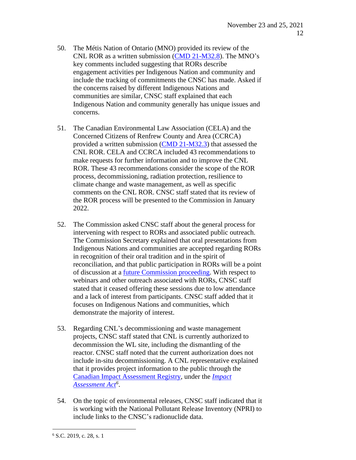- 50. The Métis Nation of Ontario (MNO) provided its review of the CNL ROR as a written submission (CMD [21-M32.8\)](https://www.nuclearsafety.gc.ca/eng/the-commission/meetings/cmd/pdf/CMD21/CMD21-M32-8.pdf). The MNO's key comments included suggesting that RORs describe engagement activities per Indigenous Nation and community and include the tracking of commitments the CNSC has made. Asked if the concerns raised by different Indigenous Nations and communities are similar, CNSC staff explained that each Indigenous Nation and community generally has unique issues and concerns.
- 51. The Canadian Environmental Law Association (CELA) and the Concerned Citizens of Renfrew County and Area (CCRCA) provided a written submission [\(CMD 21-M32.3\)](https://www.nuclearsafety.gc.ca/eng/the-commission/meetings/cmd/pdf/CMD21/CMD21-M32-3.pdf) that assessed the CNL ROR. CELA and CCRCA included 43 recommendations to make requests for further information and to improve the CNL ROR. These 43 recommendations consider the scope of the ROR process, decommissioning, radiation protection, resilience to climate change and waste management, as well as specific comments on the CNL ROR. CNSC staff stated that its review of the ROR process will be presented to the Commission in January 2022.
- 52. The Commission asked CNSC staff about the general process for intervening with respect to RORs and associated public outreach. The Commission Secretary explained that oral presentations from Indigenous Nations and communities are accepted regarding RORs in recognition of their oral tradition and in the spirit of reconciliation, and that public participation in RORs will be a point of discussion at a future [Commission](http://nuclearsafety.gc.ca/eng/the-commission/pdf/22-M1-NoticeCommissionMeeting-Jan26-27-2022-e.pdf) proceeding. With respect to webinars and other outreach associated with RORs, CNSC staff stated that it ceased offering these sessions due to low attendance and a lack of interest from participants. CNSC staff added that it focuses on Indigenous Nations and communities, which demonstrate the majority of interest.
- 53. Regarding CNL's decommissioning and waste management projects, CNSC staff stated that CNL is currently authorized to decommission the WL site, including the dismantling of the reactor. CNSC staff noted that the current authorization does not include in-situ decommissioning. A CNL representative explained that it provides project information to the public through the [Canadian Impact](https://iaac-aeic.gc.ca/050/evaluations) Assessment Registry, under the *[Impact](https://laws.justice.gc.ca/eng/acts/I-2.75/FullText.html) [Assessment](https://laws.justice.gc.ca/eng/acts/I-2.75/FullText.html) Act<sup>6</sup>* .
- 54. On the topic of environmental releases, CNSC staff indicated that it is working with the National Pollutant Release Inventory (NPRI) to include links to the CNSC's radionuclide data.

 $6$  S.C. 2019, c. 28, s. 1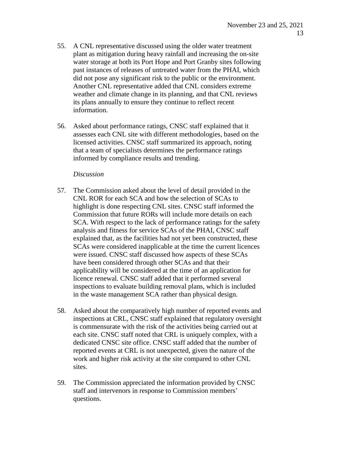- 55. A CNL representative discussed using the older water treatment plant as mitigation during heavy rainfall and increasing the on-site water storage at both its Port Hope and Port Granby sites following past instances of releases of untreated water from the PHAI, which did not pose any significant risk to the public or the environment. Another CNL representative added that CNL considers extreme weather and climate change in its planning, and that CNL reviews its plans annually to ensure they continue to reflect recent information.
- 56. Asked about performance ratings, CNSC staff explained that it assesses each CNL site with different methodologies, based on the licensed activities. CNSC staff summarized its approach, noting that a team of specialists determines the performance ratings informed by compliance results and trending.

### *Discussion*

- 57. The Commission asked about the level of detail provided in the CNL ROR for each SCA and how the selection of SCAs to highlight is done respecting CNL sites. CNSC staff informed the Commission that future RORs will include more details on each SCA. With respect to the lack of performance ratings for the safety analysis and fitness for service SCAs of the PHAI, CNSC staff explained that, as the facilities had not yet been constructed, these SCAs were considered inapplicable at the time the current licences were issued. CNSC staff discussed how aspects of these SCAs have been considered through other SCAs and that their applicability will be considered at the time of an application for licence renewal. CNSC staff added that it performed several inspections to evaluate building removal plans, which is included in the waste management SCA rather than physical design.
- 58. Asked about the comparatively high number of reported events and inspections at CRL, CNSC staff explained that regulatory oversight is commensurate with the risk of the activities being carried out at each site. CNSC staff noted that CRL is uniquely complex, with a dedicated CNSC site office. CNSC staff added that the number of reported events at CRL is not unexpected, given the nature of the work and higher risk activity at the site compared to other CNL sites.
- 59. The Commission appreciated the information provided by CNSC staff and intervenors in response to Commission members' questions.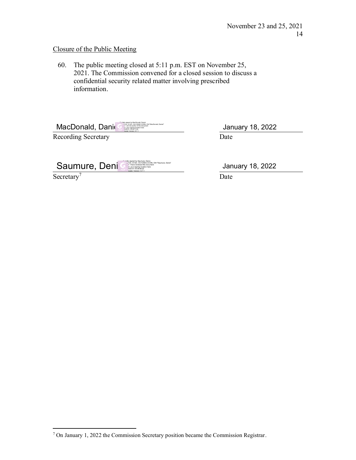# Closure of the Public Meeting

60. The public meeting closed at 5:11 p.m. EST on November 25, 2021. The Commission convened for a closed session to discuss a confidential security related matter involving prescribed information.

MacDonald, Dani (2009)

Recording Secretary

Date January 18, 2022

| Saumure, Deni | <b>The Pally signed by Saumure, Denis</b><br>v. »CA, O=GC, OU=CNSC-CCSN, CN="Saumure, Denis"<br>h: I have reviewed this document<br>in: your signing location here<br>022-01-18 08:56:22<br>leader Version: 9.7.1 |
|---------------|-------------------------------------------------------------------------------------------------------------------------------------------------------------------------------------------------------------------|
|               |                                                                                                                                                                                                                   |

Secretary<sup>7</sup>

January 18, 2022

Date

<sup>7</sup> On January 1, 2022 the Commission Secretary position became the Commission Registrar.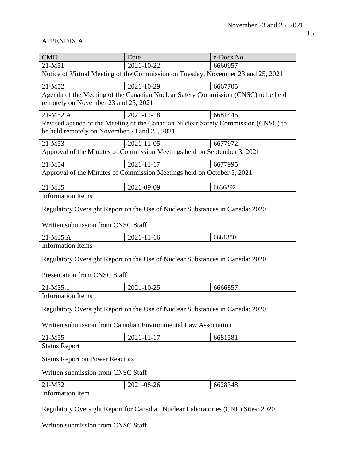# APPENDIX A

| <b>CMD</b>                                                                                                                                     | Date                                                                              | e-Docs No. |  |  |
|------------------------------------------------------------------------------------------------------------------------------------------------|-----------------------------------------------------------------------------------|------------|--|--|
| 21-M51                                                                                                                                         | 2021-10-22                                                                        | 6660957    |  |  |
|                                                                                                                                                | Notice of Virtual Meeting of the Commission on Tuesday, November 23 and 25, 2021  |            |  |  |
| 21-M52                                                                                                                                         | 2021-10-29                                                                        | 6667705    |  |  |
| Agenda of the Meeting of the Canadian Nuclear Safety Commission (CNSC) to be held<br>remotely on November 23 and 25, 2021                      |                                                                                   |            |  |  |
| 21-M52.A                                                                                                                                       | $2021 - 11 - 18$                                                                  | 6681445    |  |  |
| be held remotely on November 23 and 25, 2021                                                                                                   | Revised agenda of the Meeting of the Canadian Nuclear Safety Commission (CNSC) to |            |  |  |
| 21-M53                                                                                                                                         | 2021-11-05                                                                        | 6677972    |  |  |
|                                                                                                                                                | Approval of the Minutes of Commission Meetings held on September 3, 2021          |            |  |  |
| 21-M54                                                                                                                                         | $2021 - 11 - 17$                                                                  | 6677995    |  |  |
| Approval of the Minutes of Commission Meetings held on October 5, 2021                                                                         |                                                                                   |            |  |  |
| 21-M35                                                                                                                                         | 2021-09-09                                                                        | 6636892    |  |  |
| <b>Information Items</b>                                                                                                                       |                                                                                   |            |  |  |
| Regulatory Oversight Report on the Use of Nuclear Substances in Canada: 2020<br>Written submission from CNSC Staff                             |                                                                                   |            |  |  |
|                                                                                                                                                |                                                                                   | 6681380    |  |  |
| 21-M35.A<br><b>Information Items</b>                                                                                                           | 2021-11-16                                                                        |            |  |  |
| Regulatory Oversight Report on the Use of Nuclear Substances in Canada: 2020<br><b>Presentation from CNSC Staff</b>                            |                                                                                   |            |  |  |
| 21-M35.1                                                                                                                                       | 2021-10-25                                                                        | 6666857    |  |  |
| <b>Information Items</b>                                                                                                                       |                                                                                   |            |  |  |
| Regulatory Oversight Report on the Use of Nuclear Substances in Canada: 2020<br>Written submission from Canadian Environmental Law Association |                                                                                   |            |  |  |
| 21-M55                                                                                                                                         | 2021-11-17                                                                        | 6681581    |  |  |
| <b>Status Report</b>                                                                                                                           |                                                                                   |            |  |  |
| <b>Status Report on Power Reactors</b>                                                                                                         |                                                                                   |            |  |  |
| Written submission from CNSC Staff                                                                                                             |                                                                                   |            |  |  |
| 21-M32                                                                                                                                         | 2021-08-26                                                                        | 6628348    |  |  |
| <b>Information Item</b>                                                                                                                        |                                                                                   |            |  |  |
| Regulatory Oversight Report for Canadian Nuclear Laboratories (CNL) Sites: 2020<br>Written submission from CNSC Staff                          |                                                                                   |            |  |  |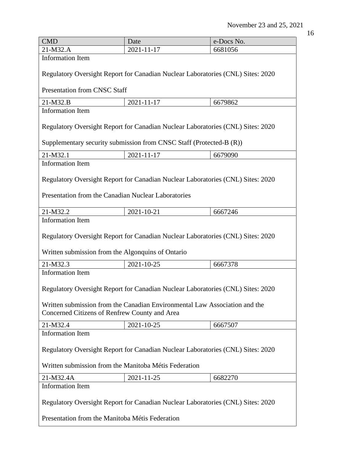| I<br>. .<br>۰.<br>×<br>v.<br>v |
|--------------------------------|

| <b>CMD</b>                                                                                                                  | Date                                                                            | e-Docs No. |  |  |
|-----------------------------------------------------------------------------------------------------------------------------|---------------------------------------------------------------------------------|------------|--|--|
| 21-M32.A                                                                                                                    | 2021-11-17                                                                      | 6681056    |  |  |
| <b>Information Item</b>                                                                                                     |                                                                                 |            |  |  |
| Regulatory Oversight Report for Canadian Nuclear Laboratories (CNL) Sites: 2020                                             |                                                                                 |            |  |  |
| <b>Presentation from CNSC Staff</b>                                                                                         |                                                                                 |            |  |  |
| 21-M32.B                                                                                                                    | 2021-11-17                                                                      | 6679862    |  |  |
| <b>Information Item</b>                                                                                                     |                                                                                 |            |  |  |
|                                                                                                                             | Regulatory Oversight Report for Canadian Nuclear Laboratories (CNL) Sites: 2020 |            |  |  |
|                                                                                                                             | Supplementary security submission from CNSC Staff (Protected-B (R))             |            |  |  |
| 21-M32.1                                                                                                                    | 2021-11-17                                                                      | 6679090    |  |  |
| <b>Information Item</b>                                                                                                     |                                                                                 |            |  |  |
| Regulatory Oversight Report for Canadian Nuclear Laboratories (CNL) Sites: 2020                                             |                                                                                 |            |  |  |
| Presentation from the Canadian Nuclear Laboratories                                                                         |                                                                                 |            |  |  |
| 21-M32.2                                                                                                                    | 2021-10-21                                                                      | 6667246    |  |  |
| <b>Information Item</b>                                                                                                     |                                                                                 |            |  |  |
| Regulatory Oversight Report for Canadian Nuclear Laboratories (CNL) Sites: 2020                                             |                                                                                 |            |  |  |
| Written submission from the Algonquins of Ontario                                                                           |                                                                                 |            |  |  |
| 21-M32.3                                                                                                                    | 2021-10-25                                                                      | 6667378    |  |  |
| <b>Information Item</b>                                                                                                     |                                                                                 |            |  |  |
| Regulatory Oversight Report for Canadian Nuclear Laboratories (CNL) Sites: 2020                                             |                                                                                 |            |  |  |
| Written submission from the Canadian Environmental Law Association and the<br>Concerned Citizens of Renfrew County and Area |                                                                                 |            |  |  |
| 21-M32.4                                                                                                                    | 2021-10-25                                                                      | 6667507    |  |  |
| <b>Information Item</b>                                                                                                     |                                                                                 |            |  |  |
| Regulatory Oversight Report for Canadian Nuclear Laboratories (CNL) Sites: 2020                                             |                                                                                 |            |  |  |
| Written submission from the Manitoba Métis Federation                                                                       |                                                                                 |            |  |  |
| 21-M32.4A                                                                                                                   | 2021-11-25                                                                      | 6682270    |  |  |
| <b>Information Item</b>                                                                                                     |                                                                                 |            |  |  |
| Regulatory Oversight Report for Canadian Nuclear Laboratories (CNL) Sites: 2020                                             |                                                                                 |            |  |  |
| Presentation from the Manitoba Métis Federation                                                                             |                                                                                 |            |  |  |